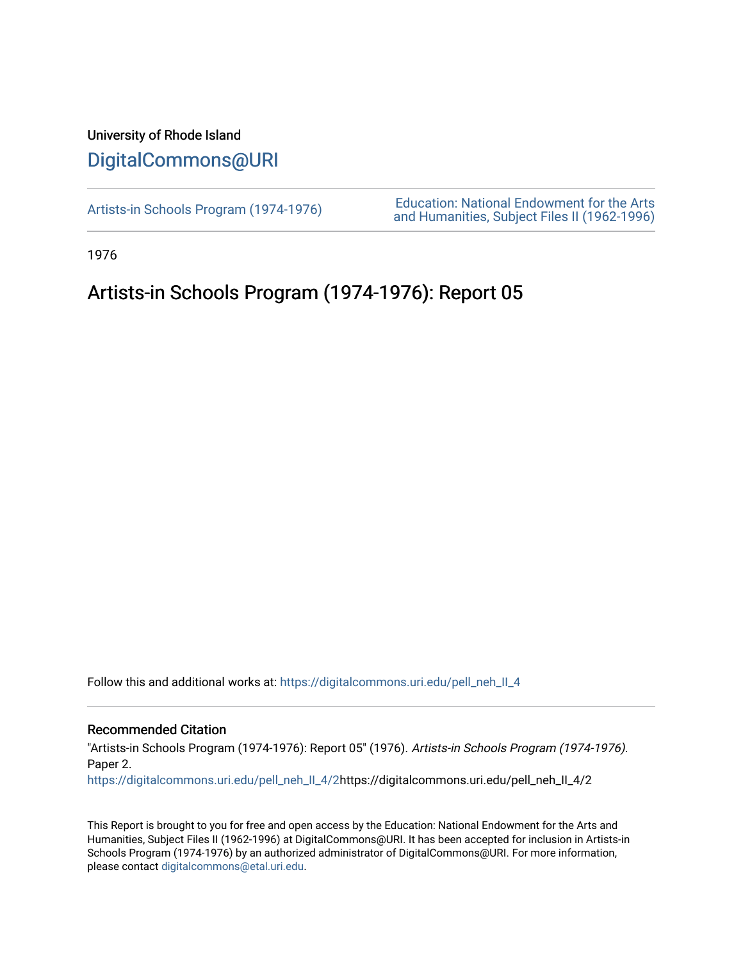### University of Rhode Island [DigitalCommons@URI](https://digitalcommons.uri.edu/)

[Artists-in Schools Program \(1974-1976\)](https://digitalcommons.uri.edu/pell_neh_II_4) [Education: National Endowment for the Arts](https://digitalcommons.uri.edu/pell_neh_II)  [and Humanities, Subject Files II \(1962-1996\)](https://digitalcommons.uri.edu/pell_neh_II) 

1976

### Artists-in Schools Program (1974-1976): Report 05

Follow this and additional works at: [https://digitalcommons.uri.edu/pell\\_neh\\_II\\_4](https://digitalcommons.uri.edu/pell_neh_II_4?utm_source=digitalcommons.uri.edu%2Fpell_neh_II_4%2F2&utm_medium=PDF&utm_campaign=PDFCoverPages) 

#### Recommended Citation

"Artists-in Schools Program (1974-1976): Report 05" (1976). Artists-in Schools Program (1974-1976). Paper 2.

[https://digitalcommons.uri.edu/pell\\_neh\\_II\\_4/2](https://digitalcommons.uri.edu/pell_neh_II_4/2?utm_source=digitalcommons.uri.edu%2Fpell_neh_II_4%2F2&utm_medium=PDF&utm_campaign=PDFCoverPages)https://digitalcommons.uri.edu/pell\_neh\_II\_4/2

This Report is brought to you for free and open access by the Education: National Endowment for the Arts and Humanities, Subject Files II (1962-1996) at DigitalCommons@URI. It has been accepted for inclusion in Artists-in Schools Program (1974-1976) by an authorized administrator of DigitalCommons@URI. For more information, please contact [digitalcommons@etal.uri.edu.](mailto:digitalcommons@etal.uri.edu)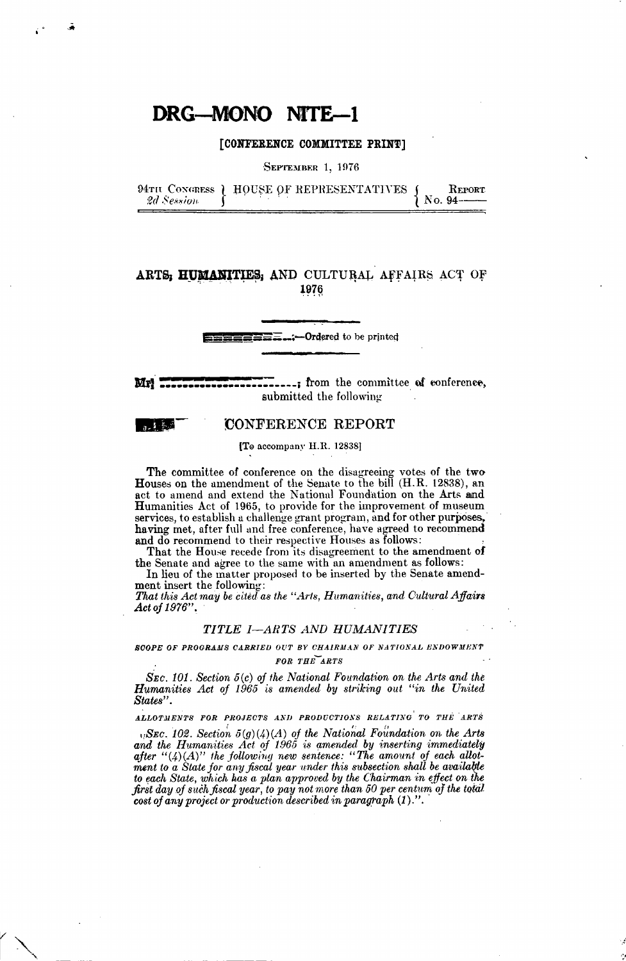#### [CONFERENCE COMMITTEE PRINT]

SEPTEMBER 1, 1976

2d Session

94TH CONGRESS ) HOUSE OF REPRESENTATIVES

REPORT No. 94-

#### ARTS: HUMANITIES: AND CULTURAL AFFAIRS ACT OF 1976

 $\Xi \Xi$ <sub>--</sub>:--Ordered to be printed

--; from the committee of conference, Mr. submitted the following

#### **CONFERENCE REPORT**

[To accompany H.R. 12838]

The committee of conference on the disagreeing votes of the two Houses on the amendment of the Senate to the bill (H.R. 12838), an act to amend and extend the National Foundation on the Arts and Humanities Act of 1965, to provide for the improvement of museum services, to establish a challenge grant program, and for other purposes, having met, after full and free conference, have agreed to recommend and do recommend to their respective Houses as follows:

That the House recede from its disagreement to the amendment of the Senate and agree to the same with an amendment as follows:

In lieu of the matter proposed to be inserted by the Senate amendment insert the following:

That this Act may be cited as the "Arts, Humanities, and Cultural Affairs Act of 1976".

#### TITLE I-ARTS AND HUMANITIES

SCOPE OF PROGRAMS CARRIED OUT BY CHAIRMAN OF NATIONAL ENDOWMENT FOR THE ARTS

 $S_{EC}$ . 101. Section  $5(c)$  of the National Foundation on the Arts and the **Humanities Act of 1965** is amended by striking out "in the United" States".

ALLOTMENTS FOR PROJECTS AND PRODUCTIONS RELATING TO THE ARTS

 $E_i$ SEC. 102. Section  $5(g)(4)(A)$  of the National Foundation on the Arts and the Humanities Act of 1965 is amended by inserting immediately<br>after "(4)(A)" the following new sentence: "The amount of each allot-<br>ment to a State for any fiscal year under this subsection shall be available to each State, which has a plan approved by the Chairman in effect on the first day of such fiscal year, to pay not more than 50 per centum of the total cost of any project or production described in paragraph  $(1)$ .".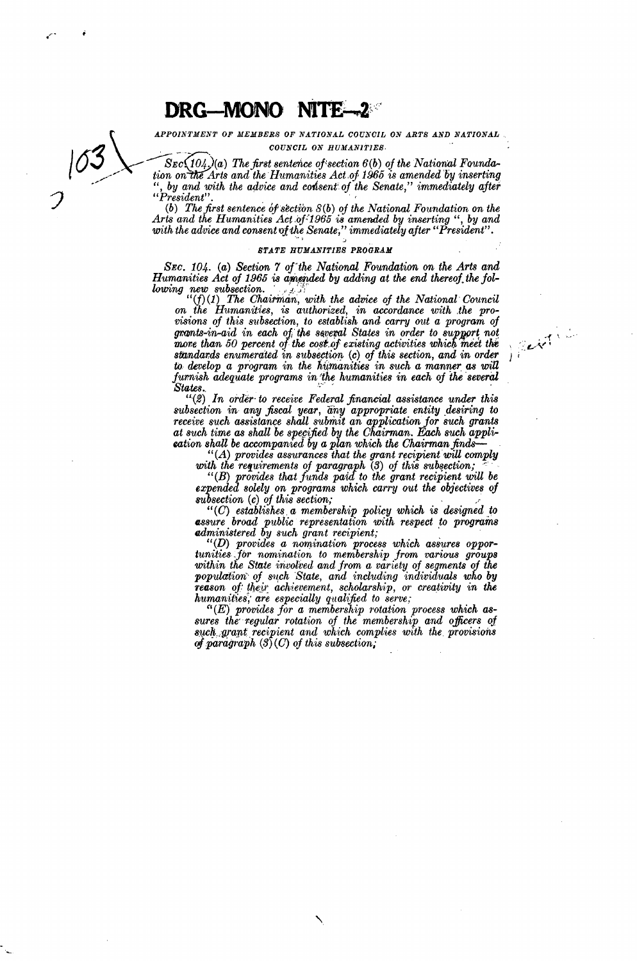APPOINTMENT OF MEMBERS OF NATIONAL COUNCIL ON ARTS AND NATIONAL COUNCIL ON HUMANITIES.

 $Sec(104,)(a)$  The first sentence of section  $6(b)$  of the National Foundation on the Arts and the Humanities Act of 1965 is amended by inserting ", by and with the advice and consent of the Senate," immediately after  $"President"$ 

(b) The first sentence of section  $S(b)$  of the National Foundation on the Arts and the Humanities Act of 1965 is amended by inserting ", by and with the advice and consent of the Senate," immediately after "President".

#### STATE HUMANITIES PROGRAM

SEC. 104. (a) Section 7 of the National Foundation on the Arts and Humanities Act of 1965 is amended by adding at the end thereof the following new subsection.

 $(f)(1)$  The Chairman, with the advice of the National Council on the Humanities, is authorized, in accordance with the provisions of this subsection, to establish and carry out a program of Herthe grants-in-aid in each of the several States in order to support not more than 50 percent of the cost of existing activities which meet the standards enumerated in subsection (c) of this section, and in order to develop a program in the humanities in such a manner as will furnish adequate programs in the humanities in each of the several States.

 $(2)$  In order to receive Federal financial assistance under this subsection in any fiscal year, any appropriate entity desiring to receive such assistance shall submit an application for such grants at such time as shall eation shall be accompanied by a plan which the Chairman finds— $``(A)$  provides assurances that the grant recipient will comply

with the requirements of paragraph (3) of this subsection;

"(B) provides that funds paid to the grant recipient will be expended solely on programs which carry out the objectives of subsection  $(c)$  of this section;

 $"(C)$  establishes a membership policy which is designed to assure broad public representation with respect to programs administered by such grant recipient;

 $``(D)$  provides a nomination process which assures opportunities for nomination to membership from various groups within the State involved and from a variety of segments of the population of such State, and including individuals who by reason of their achievement, scholarship, or creativity in the humanities, are especially qualified to serve;

 $\lq\lq (E)$  provides for a membership rotation process which assures the regular rotation of the membership and officers of such grant recipient and which complies with the provisions of paragraph  $(3)(C)$  of this subsection.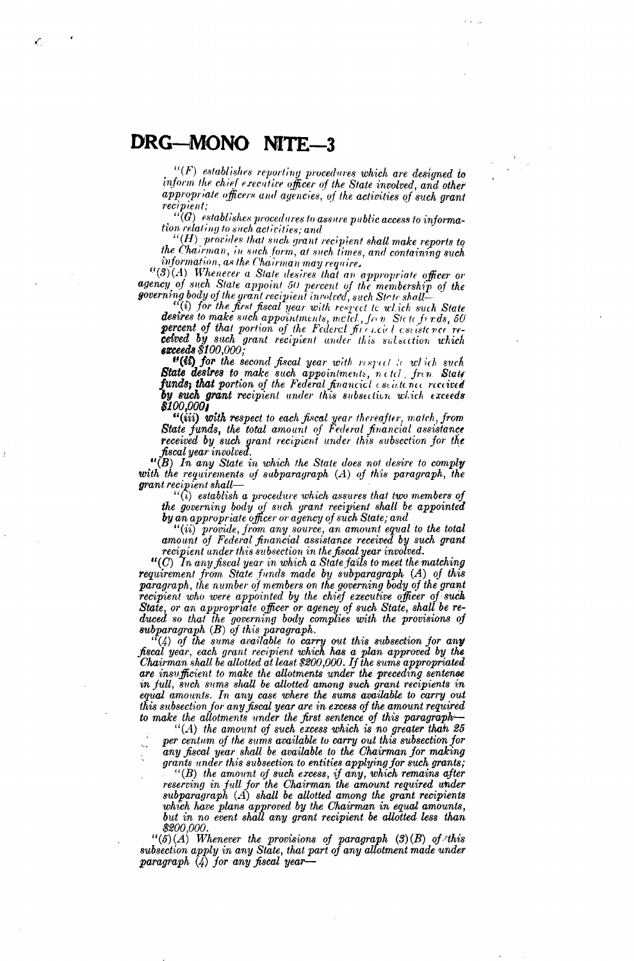$"$ (F) establishes reporting procedures which are designed to inform the chief executive officer of the State involved, and other appropriate officers and agencies, of the activities of such grant recipient;

 $``(G)$  establishes procedures to assure public access to information relating to such activities; and

 $``(H)$  provides that such grant recipient shall make reports to the Chairman, in such form, at such times, and containing such information, as the Chairman may require.

"(3)(A) Whenever a State desires that an appropriate officer or agency of such State appoint 50 percent of the membership of the governing body of the grant recipient involved, such State shall—<br>"(i) for the first fiscal year with respect to which such State"

desires to make such appointments, maich, from Siete fords, 50 percent of that portion of the Federal firencial assistance received by such grant recipient under this subsection which<br>exceeds \$100,000;

"(i) for the second fiscal year with respect to which such State desires to make such appointments, netcl, from State<br>funds, that portion of the Federal financial essistence received by such grant recipient under this subsection which exceeds *\$100,000* 

"(iii) with respect to each fiscal year thereafter, match, from<br>State funds, the total amount of Federal financial assistance received by such grant recipient under this subsection for the fiscal year involved.

"(B) In any State in which the State does not desire to comply with the requirements of subparagraph  $(A)$  of this paragraph, the grant recipient shall—<br> $\frac{1}{2}$  (i) establish a procedure which assures that two members of

the governing body of such grant recipient shall be appointed<br>by an appropriate officer or agency of such State; and

"(ii) provide, from any source, an amount equal to the total amount of Federal financial assistance received by such grant recipient under this subsection in the fiscal year involved.

" $(C)$  In any fiscal year in which a State fails to meet the matching requirement from State funds made by subparagraph (A) of this paragraph, the number of members on the governing body of the grant recipient who were appointed by the chief executive officer of such State, or an appropriate officer or agency of such State, shall be re-<br>duced so that the governing body complies with the provisions of subparagraph  $(B)$  of this paragraph.

 $f(x)$  of the sums available to carry out this subsection for any<br>fiscal year, each grant recipient which has a plan approved by the<br>Chairman shall be allotted at least \$200,000. If the sums appropriated are insufficient to make the allotments under the preceding sentence in full, such sums shall be allotted among such grant recipients in equal amounts. In any case where the sums available to carry out this subsection for any fiscal year are in excess of the amount required to make the allotments under the first sentence of this paragraph-

 $"$ (A) the amount of such excess which is no greater than 25 per centum of the sums available to carry out this subsection for any fiscal year shall be available to the Chairman for making grants under this subsection to entities applying for such grants;  $( B )$  the amount of such excess, if any, which remains after<br>reserving in full for the Chairman the amount required under subparagraph  $(A)$  shall be allotted among the grant recipients which have plans approved by the Chairman in equal amounts,<br>but in no event shall any grant recipient be allotted less than \$200,000.

 $``(5)(A)$  Whenever the provisions of paragraph  $(3)(B)$  of this subsection apply in any State, that part of any allotment made under paragraph (4) for any fiscal year-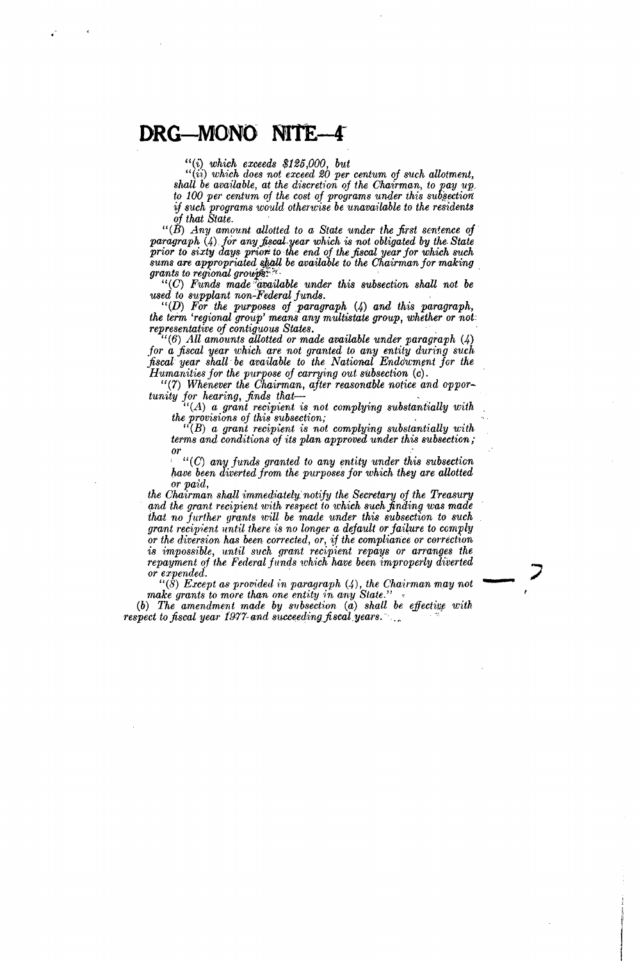"(i) *which exceeds \$125,000, but* 

" (ii) *which does not exceed 20 per centum of such allotment,*  shall be available, at the discretion of the Chairman, to pay  $up$ . *to* 100 *per centum of the cost of programs under ihis sub§ectiort*  if such programs would otherwise be unavailable to the residents *of that State.* ·

 $"(\check{B})$  *Any amount allotted to a State under the first sentence of paragraph* (4). *for any faoaJ..year which is not obligated by the. State prior to sixty d.ays. pr.iori to* ·the *end of* the *fiscal year for which such sums are appropriated shall be available to the Chairman for making* 

*grants to regional groups:*  $\cdot$  .  $\cdot$  .  $\cdot$  .  $\cdot$  .  $\cdot$  .  $\cdot$  .  $\cdot$  .  $\cdot$  .  $\cdot$  .  $\cdot$  .  $\cdot$  .  $\cdot$  .  $\cdot$  .  $\cdot$  .  $\cdot$  .  $\cdot$  .  $\cdot$  .  $\cdot$  .  $\cdot$  .  $\cdot$  .  $\cdot$  .  $\cdot$  .  $\cdot$  .  $\cdot$  .  $\cdot$  .  $\cdot$  .  $\cdot$  .  $\cdot$ *used to supplant non-Federal funds.* 

'' (D) *For the purposes of paragraph* (4) *and this paragraph, the term 'regional, group' means any multistate group, whether or not: representative of contiguous States.*<br>
"(6) All amounts allotted or made available under paragraph (4)

*for a fiscal year which are not granted to any entity during such fiscal year shall be available to the National Endowment for the Humanities for the purpose of carrying out silbsection* (c).

"(7) *Whenever the Chairman, after reasonable notice and opportunity for hearing, finds that*-<br>"(A) *a grant recipient is not complying substantially with* 

*the provisions of this subsection;* <br>
"(B) *a grant recipient is not complying substantially with* 

*terms and conditions of its plan approved under this subsection; or* 

' " ( G) *any funds granted to any entity under this subsection have been diverted from the purposes for which they are allotted or paid,* 

*the Chairman shall immediately notify the Secretary of the Treasury and the grant recipient with respect to which such finding was made that no further grants will be made under this subsection to such grant recipient until there is no longer a default or failure to comply or the diversion has been corrected, or,* 1f *the compliance or correction is impossible, nntil such grant recipient repays or arranges the repayment of the Federal funds which have been improperly diverted or expended.* ·

 $``$ (8) Except as provided in paragraph  $(4)$ , the Chairman may not make grants to more than one entity in any State."

-

(b) The amendment made by subsection (a) shall be effective with *respect to fiscal year 1977-and succeeding fiscal years.*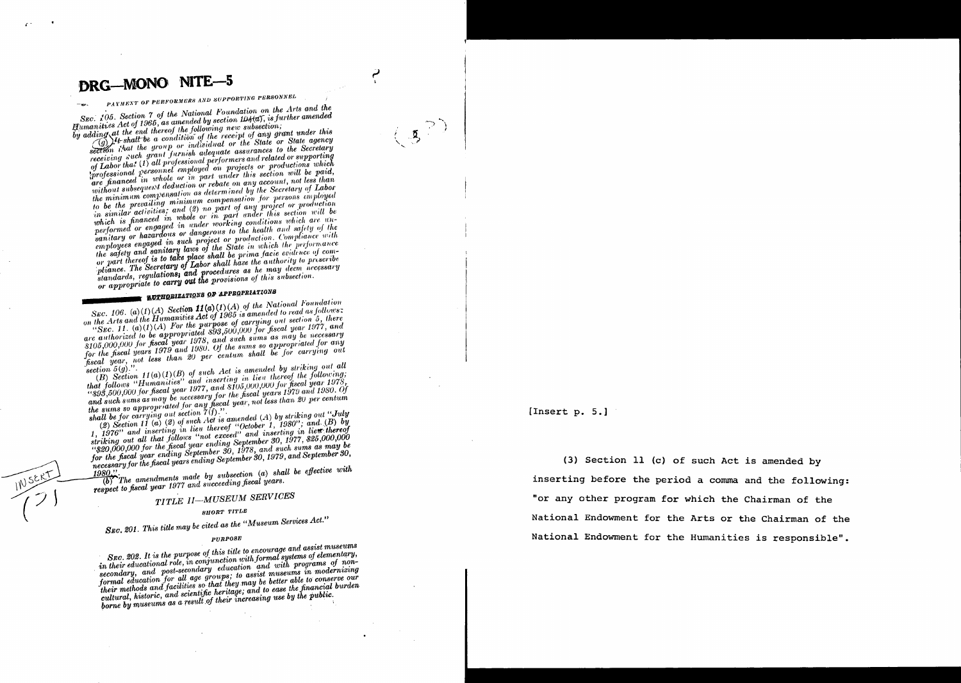## PAYMENT OF PERFORMERS AND SUPPORTING PERSONNEL

SEC. 105. Section 7 of the National Foundation on the Arts and the Humanities Act of 1965, as amended by section 104(a), is further amended by adding at the end thereof the following new subsection;

sucrity in the latt the a condition of the receipt of any grant under this section that the group or individual or the State or State agency receiving such grant furnish adequate assurances to the Secretary receiving such your formion unequate ussurances to the Secretary<br>of Labor that (1) all professional performers and related or supporting<br>professional personnel employed on projects or productions which are financed in whole or in part under this section will be paid, without subsequent deduction or rebate on any account, not less than the minimum compensation as determined by the Secretary of Labor to be the prevailing minimum compensation for persons employed to be the previous measured compensation for persons employed<br>in similar activities; and (2) no part of any project or production<br>which is financed in whole or in part under this section will be performed or engaged in under working conditions which are unganitary or hazardous or dangerous to the health and safety of the san tury or nuzulations or anyon the contraction. Compliance with<br>employees engaged in such project or production. Compliance with<br>the safety and samitary laws of the State in which the performance or part thereof is to take place shall be prima facie evidence of compliance. The Secretary of Labor shall have the authority to prescribe standards, regulations, and procedures as he may deem necessary or appropriate to carry out the provisions of this subsection.

## **NAME AUTHOBIZATIONS OF APPROPRIATIONS**

SEC. 106. (a)(1)(A) Section  $11(a)(1)(A)$  of the National Foundation on the Arts and the Humanities Act of 1965 is amended to read as follows: on the Lines who are the manufacture of the purpose of carrying out section 5, there<br>"SEC. 11. (a)(1)(A) For the purpose of carrying out section 5, there<br>are authorized to be appropriated \$93,500,000 for fiscal year 1977,  $$105,000,000$  for fiscal year 1978, and such sums as may be necessary for the fiscal years 1979 and 1980. Of the sums so appropriated for any fiscal year, not less than 20 per centum shall be for carrying out section  $5(9)$ ."

 $(B)$  Section 11(a)(1)(B) of such Act is amended by striking out all that follows "Humanities" and inserting in lieu thereof the following;<br>
"Song, 500,000 for fiscal year 1977, and \$105,000,000 for fiscal year 1978, and such sums as may be necessary for the fiscal years 1979 and 1980. Of what such sums us may be necessary for the process genro for any time for the sums so appropriated for any fiscal year, not less than 20 per centum shall be for carrying out section  $7(f)$ .

(2) Section 11 (a) (2) of such Act is amended (A) by striking out "July

(a) Section 11 (a) (a) of such that is unique (A) of string out out of  $1$ ,  $1976$ " and inserting in lieu thereof "October 1,  $1980$ "; and  $(B)$  by striking out all that follows "not exceed" and inserting in lieu thereof structing out an interpretent and subsequently the control of the 1970, 000,000 for the fiscal year ending September 30, 1977, \$25,000,000 for the fiscal year ending September 30, 1978, and such sums as may be for the fisc The the first poor channel supported by, 1910, and same as the same of the first of the fiscal years ending September 30, 1979, and September 30,

 $\overbrace{(b)}^{\bullet}$  The amendments made by subsection (a) shall be effective with respect to fiscal year 1977 and succeeding fiscal years.

## TITLE II-MUSEUM SERVICES

#### SHORT TITLE

# SEC. 201. This title may be cited as the "Museum Services Act."

#### $\boldsymbol{P} \boldsymbol{U} \boldsymbol{R} \boldsymbol{P} \boldsymbol{O} \boldsymbol{S} \boldsymbol{E}$

SEC. 202. It is the purpose of this title to encourage and assist museums in their educational role, in conjunction with formal systems of elementary, secondary, and post-secondary education and with programs of nonformal education for all age groups; to assist museums in modernizing their methods and facilities so that they may be better able to conserve our cultural, historic, and scientific heritage; and to ease the financial burden borne by museums as a result of their increasing use by the public.

[Insert p.  $5.]$ 

(3) Section 11 (c) of such Act is amended by inserting before the period a comma and the following: "or any other program for which the Chairman of the National Endowment for the Arts or the Chairman of the National Endowment for the Humanities is responsible".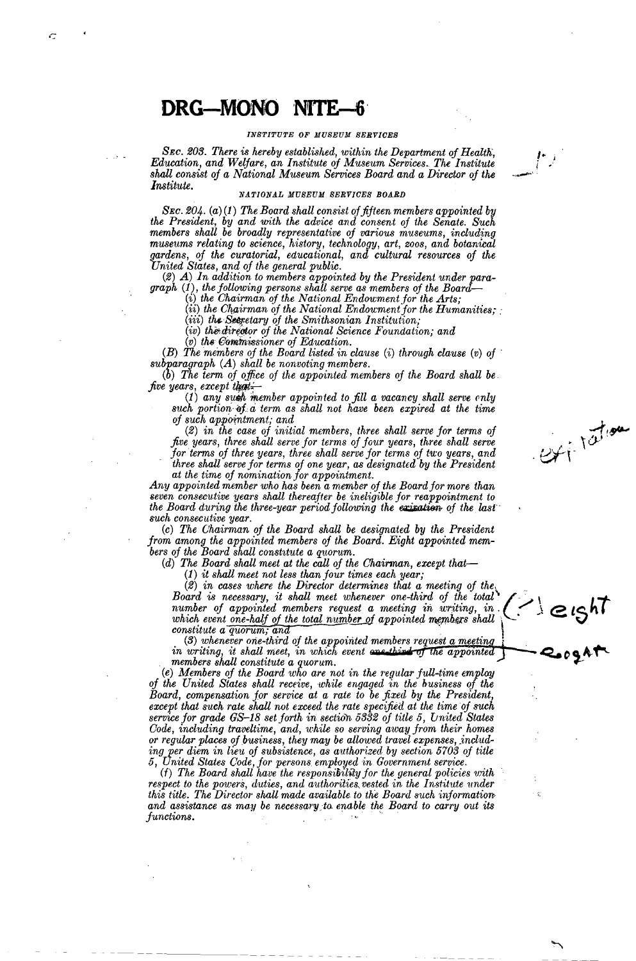Ċ

#### *INSTITUTE OF MUSEUM SERVICES*

**SEC. 203. There is hereby established, within the Department of Health,** *Education, and Welfare, an Institute of Museum Services. The Institute* shall consist of a National Museum Services Board and a Director of the *Institute.* 

#### NATIONAL MUSEUM SERVICES BOARD

*SEc. 204. (a)* (1) *The Board shall consist of fifteen members appointed by the President, by and 'With the advice and consent of the Senate. Such members shall be broadly representative of various museums, including museums relating to science, history, technology, art, zoos, and botanical gardens, of the curatorial, educational, and cultural resources of the United States, and of the general public.* 

(2) *A) In addition to members appointed by the President under paragraph* (1), *the jollowing persons shall serve as members of the Board-*

(*i*) the Chairman of the National Endowment for the Arts;

(*ii*) the Chairman of the National Endoument for the Humanities;

(iii) *the &tpetary of the Smithsonian Institution;* 

(iv) the director of the National Science Foundation; and

(v) the Commissioner of Education.

(B) *The members of the Board listed in clause* (i) *through clause (v) of* · *subparagraph* (A) *shall be nonvoting members.* 

*(b) The term of office of the appointed members of the Board shall be five years, except that.* 

(1) any such member appointed to fill a vacancy shall serve enly such portion of a term as shall not have been expired at the time *of such appo-intment; and* 

(2) *in the case of initial members, three shall serve for terms of five years, three shall serve for terms of four years, three shall serve*  for terms of three years, three shall serve for terms of two years, and *three shall serve for terms of one year, as designated by the President at the time of nomination for appointment.* 

Ext<sup>itation</sup>

*Any appointed member who has been a member of the Board for more than seven conseci1.tive years shall thereafter be ineligible for reappointment to the Board during the three-year period following the existion of the last such consecutive year.* 

(c) *The Ohairman of the Board shall be designated by the President from among the appointed members of the Board. Eight appointed mem*bers of the Board shall constitute a quorum.

*(d) The Board shall meet at the call of the Chairman, except that-*

(1) *it shall meet not less than four times each year;* 

*(2) in cases where the Director determines that a meeting of the.* . *Board is necessary, it shall meet whenever one-third of the total'*<br>
number of appointed members request a meeting in writing, in  $\binom{?}{\cdot}$   $\in$   $\{S^h\}$ <br>
which event one-half of the total number of appointed members  $number$  of appointed members request a meeting in writing, in  $\{\leq\}$ which event one-half of the total number of appointed members shall  $\setminus$ *constitute a quorum; and* 

(3) whenever one-third of the appointed members request a meeting in writing, it shall meet, in which event are third of the appointed members shall constitute a quorum.

(e) Members of the Board who are not in the regular full-time employ *of the United States shall receive, while engaged in the business of the Board, compensation for service at a rate to be fixed by the President,*  except that such rate shall not exceed the rate specified at the time of such *service for grade GS-18 set forth in section 5332 of title 5, united States Code, including traveltime, and, while so serving away from their homes or regular places of business, they may be allowed travel expenses, includ*ing per diem in lieu of subsistence, as authorized by section 5703 of title *5, United States Gode, for persons employed in Government service.* 

(f) *The Board shall have the responsioihty for the general policies with*  respect to the powers, duties, and authorities vested in the Institute under *this title. The Director shall made available to the Board such information* and assistance as may be necessary to enable the Board to carry out its *functions.*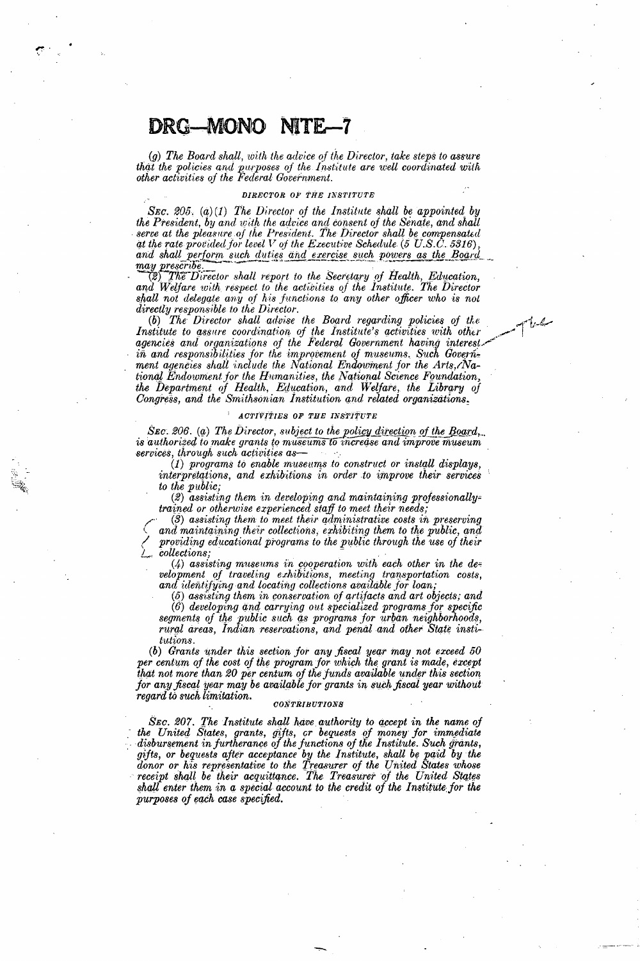(a) The Board shall, with the advice of the Director, take steps to assure that the policies and purposes of the Institute are well coordinated with<br>other activities of the Federal Government.

#### DIRECTOR OF THE INSTITUTE

SEC. 205. (a)(1) The Director of the Institute shall be appointed by the President, by and with the advice and consent of the Senate, and shall serve at the pleasure of the President. The Director shall be compensated<br>at the rate provided for level V of the Executive Schedule (5 U.S.C. 5316), and shall perform such duties and exercise such powers as the Board may prescribe

(2) The Director shall report to the Secretary of Health, Education, and Welfare with respect to the activities of the Institute. The Director shall not delegate any of his functions to any other officer who is not directly responsible to the Director.

(b) The Director shall advise the Board regarding policies of the Institute to assure coordination of the Institute's activities with other agencies and organizations of the Federal Government having interest. in and responsibilities for the improvement of museums. Such Government agencies shall include the National Endowment for the Arts, National Endowment for the Humanities, the National Science Foundation, the Department of Health, Education, and Welfare, the Library of Congress, and the Smithsonian Institution and related organizations.

#### ACTIVITIES OF THE INSTITUTE

SEC. 206. (a) The Director, subject to the policy direction of the Board, is authorized to make grants to museums to increase and improve museum services, through such activities as

(1) programs to enable museums to construct or install displays, interpretations, and exhibitions in order to improve their services to the public;

(2) assisting them in developing and maintaining professionallytrained or otherwise experienced staff to meet their needs;

 $(3)$  assisting them to meet their administrative costs in preserving and maintaining their collections, exhibiting them to the public, and providing educational programs to the public through the use of their *collections*:

 $(4)$  assisting museums in cooperation with each other in the development of traveling exhibitions, meeting transportation costs, and identifying and locating collections available for loan,

 $(5)$  assisting them in conservation of artifacts and art objects; and

 $(\hat{6})$  developing and carrying out specialized programs for specific segments of the public such as programs for urban neighborhoods, rural areas, Indian reservations, and penal and other State institutions.

(b) Grants under this section for any fiscal year may not exceed 50 per centum of the cost of the program for which the grant is made, except that not more than 20 per centum of the funds available under this section for any fiscal year may be available for grants in such fiscal year without regard to such limitation.

#### $\label{eq:constrained} \begin{minipage}{0.03\textwidth} \centering \begin{tabular}{|c|c|c|} \hline \textbf{0.03}\textbf{0.07}\textbf{0.07}\textbf{0.07}\textbf{0.07}\textbf{0.07}\textbf{0.07}\textbf{0.07}\textbf{0.07}\textbf{0.07}\textbf{0.07}\textbf{0.07}\textbf{0.07}\textbf{0.07}\textbf{0.07}\textbf{0.07}\textbf{0.07}\textbf{0.07}\textbf{0.07}\textbf{0.07}\textbf{0.07}\textbf{0.07}\$

SEC. 207. The Institute shall have authority to accept in the name of the United States, grants, gifts, or bequests of money for immediate disbursement in furtherance of the functions of the Institute. Such grants, gifts, or bequests after acceptance by the Institute, shall be paid by the donor or his representative to the Treasurer of the United States whose receipt shall be their acquittance. The Treasurer of the United States shall enter them in a special account to the credit of the Institute for the purposes of each case specified.

سيكردا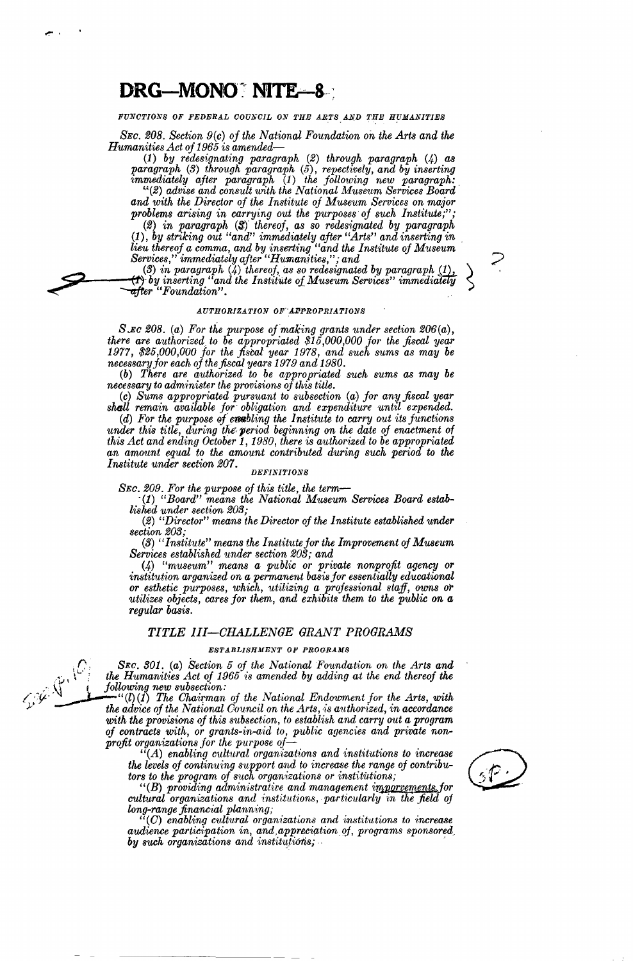### DRG-MONO<sup>\*</sup> NITE-8

FUNCTIONS OF FEDERAL COUNCIL ON THE ARTS AND THE HUMANITIES

*SEC. 208. Section 9(c) of the National, Foundation on the Arts and the Humanities Act of 1965 is amended-*

(1) *by redesignating paragraph* (2) *through paragraph* (4) *as paragraph* (3) *through paragraph* (5), *repectively, and by inserting immediately after paragraph* (1) *the following new paragraph:.*  (((2) *advise and consult with the National Museum Services Board* 

*and with the Director of the Institute of Museum Services on major problems arising in carrying out the purposes of S'Uch Institute;";* 

*(2) in paragraph* (S} *thereof, as so redesignated by paragraph*  (1), *by striking out "and" immediately after "Arts" and inserting in lieu thereof a comma, and by inserting "and the Institute of Museum Services,'' immediately after "Humanities,''; and* /

(3) in paragraph (4) thereof, as so redesignated by paragraph  $(1)$ ,  $(2)$ , by inserting "and the Institute of Museum Services" immediately  $\sim$ *--after "Foundation".* .

#### *AUTHORIZATION OF APPROPRIATIONS*

*S.Eo 208. (a) For the purpose ojmaking grants under section 206(a), there are authorized to be appropriated \$15,000,000 for the fiscal year 1977, \$25,000,000 for the fiscal year 1978, and such sums as may be necessary for each of the fiscal years 1979and1980.* 

(b) *There are authorized to be appropriated such sums as may be necessary to adm'inister the provisions of this title.* 

(c) *Sums appropriated pursuant to subsection* (a) *for any fiscal year shall remain available for obligation and expenditure until expended.* 

(d) For the purpose of enoticing the Institute to carry out its functions under this title, during the period beginning on the date of enactment of *this Act and ending October 1, 1980, there is authorized to be appropriated* an amount equal to the amount contributed during such period to the *Institute under section 207.* 

#### *DEFINITIONS*

SEC. 209. For the purpose of this title, the term-

·(1) *"Board" means the National Museum Services Board establi,shed under section 203;* 

(2) "Director" means the Director of the Institute established under *section 203;* 

*(3) "Institute" means the Institute for the Improvement of Museum Services established under section 203; and* 

(4) *"museum" means a public or private nonprofit agency or*  institution arganized on a permanent basis for essentially educational or esthetic purposes, which, utilizing a professional staff, owns or *utilizes objects, cares for them, and exhibits them to the public on a regular basis.* 

#### *TITLE III-CHALLENGE GRANT PROGRAMS*

#### *ESTABLISHMENT OF PROGRAMS*

SEC. 301. (a) Section 5 of the National Foundation on the Arts and<br>the Humanities Act of 1965 is amended by adding at the end thereof the<br>following new subsection:<br>the admics of the National, Formal, The Chairman of the Na the Humanities Act of 1965 is amended by adding at the end thereof the following new subsection:

 $\mathcal{L}^{\mu}(l)(I)$  The Chairman of the National Endowment for the Arts, with the advice of the National Council on the Arts, is authorized, in accordance with the provisions of this subsection, to establish and carry out a program *of contracts with, or grants-in-aid to, public agencies and private non-profit organizations for the purpose of-*

 $(A)$  enabling cultural organizations and institutions to increase the levels of continuing support and to increase the range of contribu*tors to the program of snch organ·izat'ions or ·institit.tions;* 

"(B) providing administrative and management imporvements, for cultural organizations and *institutions, particularly in the field of long-range financial plann'ir1.g;* 

 $(C)$  enabling cultural organizations and institutions to increase audience participation in, and appreciation of, programs sponsored *by such organizatfons and instit·u:-fi6ris;* . - '





.- '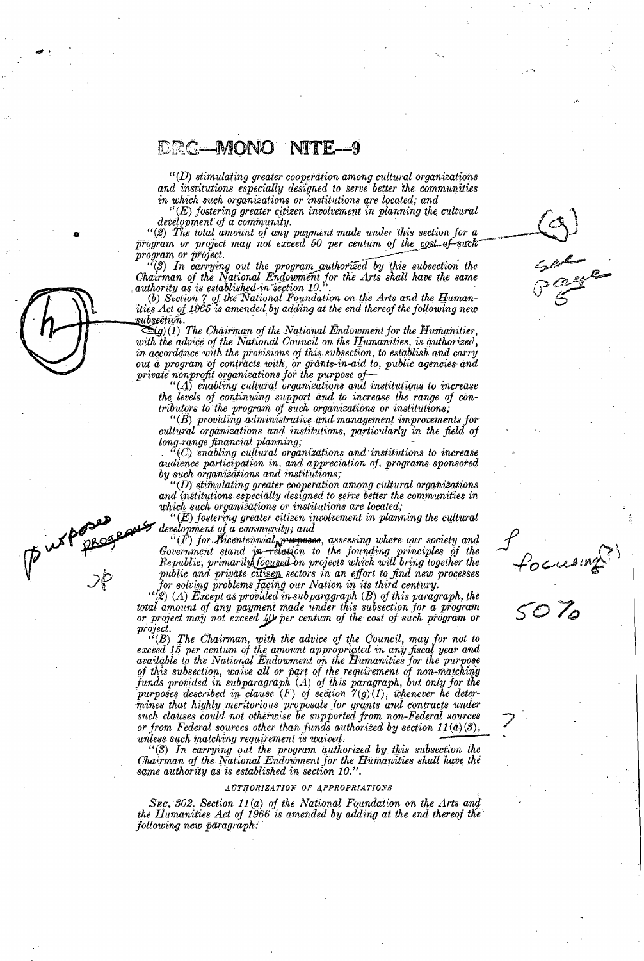$``(D)$  stimulating greater cooperation among cultural organizations and institutions especially designed to serve better the communities in which such organizations or institutions are located; and

 $(E)$  fostering greater citizen involvement in planning the cultural development of a community.

"(2) The total amount of any payment made under this section for a program or project may not exceed 50 per centum of the cost-of-such program or project.

 $\frac{U(3)}{I(n)}$  In carrying out the program authorized by this subsection the<br>Chairman of the National Endowment for the Arts shall have the same<br>authority as is established in section 10."

(b) Section  $\gamma$  of the National Foundation on the Arts and the Humantities Act of 1965 is amended by adding at the end thereof the following new subsection.

 $\sum_{(g)}(1)$  The Chairman of the National Endowment for the Humanities, with the advice of the National Council on the Humanities, is authorized, in accordance with the provisions of this subsection, to establish and carry out a program of contracts with, or grants-in-aid to, public agencies and private nonprofit organizations for the purpose of

 $(A)$  enabling cultural organizations and institutions to increase the levels of continuing support and to increase the range of contributors to the program of such organizations or institutions;

 $``$ ( $B$ ) providing administrative and management improvements for cultural organizations and institutions, particularly in the field of long-range financial planning;

 $\lq\lq(C)$  enabling cultural organizations and institutions to increase audience participation in, and appreciation of, programs sponsored<br>by such organizations and institutions;

 $``(D)$  stimulating greater cooperation among cultural organizations and institutions especially designed to serve better the communities in which such organizations or institutions are located;

 $E(E)$  fostering greater citizen involvement in planning the cultural development of a community; and

 $``(F)$  for Bicentennial purposes, assessing where our society and<br>Government stand in relation to the founding principles of the<br>Republic, primarily focused on projects which will bring together the<br>public and private cit for solving problems facing our Nation in its third century.

focusing<br>5070

Carpo Rus

 $``$ (2) (A) Except as provided in subparagraph (B) of this paragraph, the total amount of any payment made under this subsection for a program or project may not exceed 40 per centum of the cost of such program or 

 $\begin{bmatrix} G(B) \end{bmatrix}$  The Chairman, with the advice of the Council, may for not to exceed 15 per centum of the amount appropriated in any fiscal year and available to the National Endowment on the Humanities for the purpose of this subsection, waive all or part of the requirement of non-matching funds provided in subparagraph  $(A)$  of this paragraph, but only for the purposes described in clause  $(F)$  of section  $7(g)(1)$ , whenever he determines that highly meritorious proposals for grants and contracts under such clauses could not otherwise be supported from non-Federal sources or from Federal sources other than funds authorized by section  $11(a)(3)$ , unless such matching requirement is waived.

"(3) In carrying out the program authorized by this subsection the Chairman of the National Endowment for the Humanities shall have the same authority as is established in section 10.".

#### AUTHORIZATION OF APPROPRIATIONS

SEC. 302. Section 11(a) of the National Foundation on the Arts and the Humanities Act of 1966 is amended by adding at the end thereof the following new paragraph: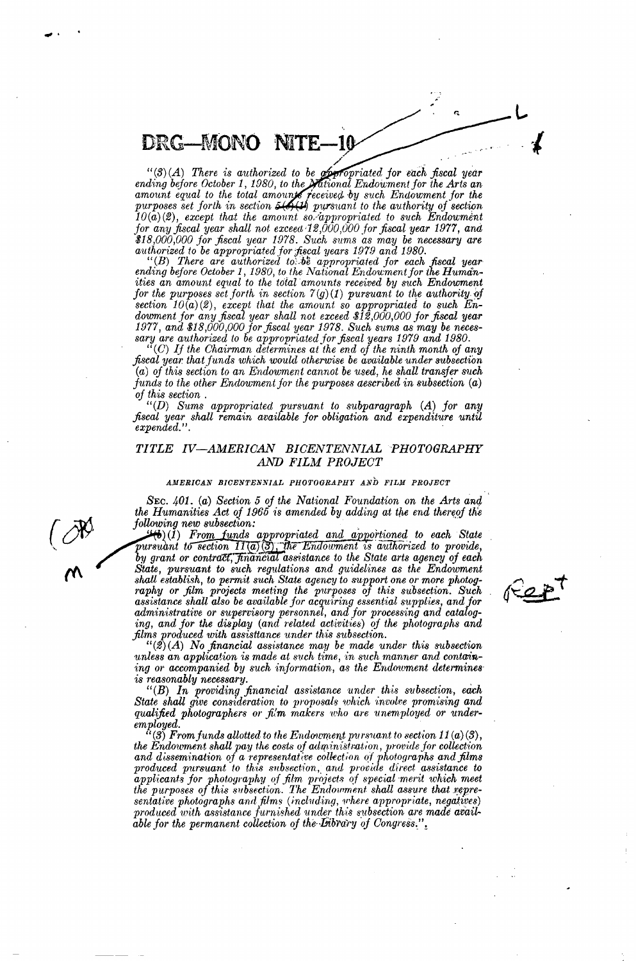"(3)(A) There is authorized to be **observed** for each fiscal year<br>ending before October 1, 1980, to the **Mational Endowment** for the Arts an<br>amount equal to the total amounts received by such Endowment for the<br>purposes se  $10(a)(2)$ , except that the amount so-appropriated to such Endoument<br>for any fiscal year shall not exceed 12,000,000 for fiscal year 1977, and \$18,000,000 for fiscal year 1978. Such sums as may be necessary are<br>authorized to be appropriated for fiscal years 1979 and 1980.

 $``(B)$  There are authorized to be appropriated for each fiscal year ending before October 1, 1980, to the National Endowment for the Humanities an amount equal to the total amounts received by such Endowment for the purposes set forth in section  $\mathcal{T}(g)(I)$  pursuant to the authority of section  $10(a)(2)$ , except that the amount so appropriated to such Endowment for any fiscal year shall not exceed \$12,000,000 for fiscal year 1977, and \$18,000,000 for fiscal year 1978. Such sums as may be necessional sary are authorized to be appropriated for fiscal years 1979 and 1980.<br>"(C) If the Chairman determines at the end of the ninth month of any

fiscal year that funds which would otherwise be available under subsection (a) of this section to an Endowment cannot be used, he shall transfer such funds to the other Endowment for the purposes aescribed in subsection  $(a)$ 

of this section.<br>
"(D) Sums appropriated pursuant to subparagraph (A) for any<br>
"(D) Sums appropriated pursuant to subparagraph (A) for any fiscal year shall remain available for obligation and expenditure until<br>expended.".

#### TITLE IV-AMERICAN BICENTENNIAL PHOTOGRAPHY AND FILM PROJECT

#### AMERICAN BICENTENNIAL PHOTOGRAPHY AND FILM PROJECT

SEC. 401. (a) Section 5 of the National Foundation on the Arts and the Humanities Act of 1965 is amended by adding at the end thereof the following new subsection:

 $\mathcal{H}_{\Theta}(I)$  From funds appropriated and apportioned to each State pursuant to section  $\Pi(\overline{a})$  (3), the Endowment is authorized to provide, by grant or contract, financial assistance to the State arts agency of each State, pursuant to such regulations and guidelines as the Endowment shall establish, to permit such State agency to support one or more photography or film projects meeting the purposes of this subsection. Such assistance shall also be available for acquiring essential supplies, and for administrative or supervisory personnel, and for processing and cataloging, and for the display (and related activities) of the photographs and films produced with assistiance under this subsection.

 $\mu(\mathcal{D}(A))$  No financial assistance may be made under this subsection<br>unless an application is made at such time, in such manner and containing or accompanied by such information, as the Endowment determines is reasonably necessary.

 $``(B)$  In providing financial assistance under this subsection, each State shall give consideration to proposals which involve promising and qualified photographers or film makers who are unemployed or under $employed.$ 

(3) From funds allotted to the Endowment pursuant to section  $11(a)(3)$ , the Endowment shall pay the costs of administration, provide for collection and dissemination of a representative collection of photographs and films produced pursuant to this subsection, and provide direct assistance to applicants for photography of film projects of special merit which meet the purposes of this subsection. The Endowment shall assure that representative photographs and films (including, where appropriate, negatives) produced with assistance furnished under this subsection are made available for the permanent collection of the Library of Congress.".